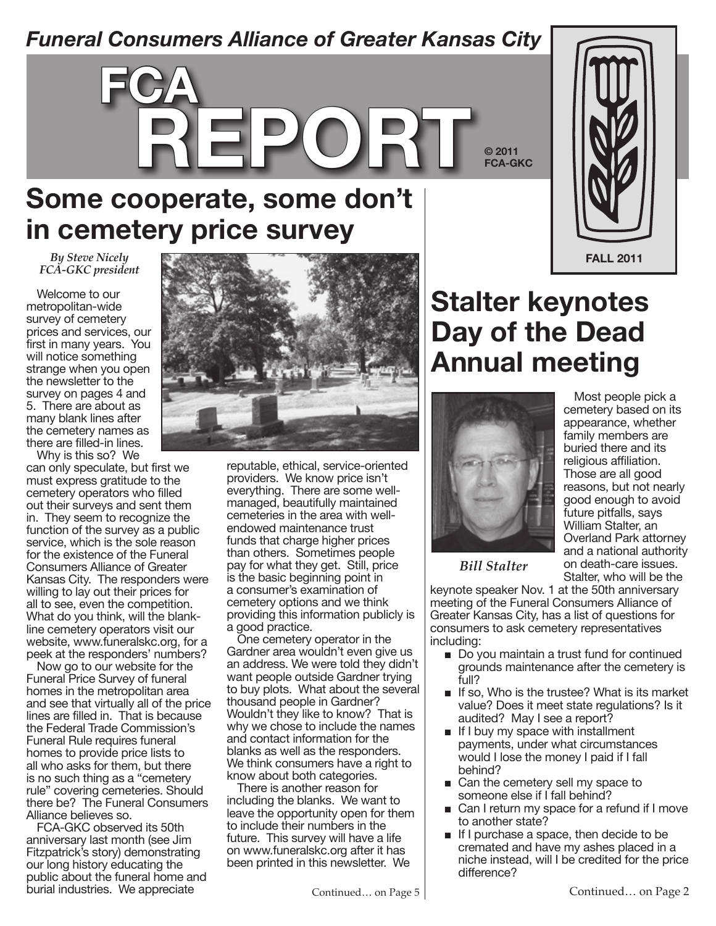### *Funeral Consumers Alliance of Greater Kansas City*



**Some cooperate, some don't in cemetery price survey**

*By Steve Nicely FCA-GKC president*

Welcome to our metropolitan-wide survey of cemetery prices and services, our first in many years. You will notice something strange when you open the newsletter to the survey on pages 4 and 5. There are about as many blank lines after the cemetery names as there are filled-in lines.

Why is this so? We can only speculate, but first we must express gratitude to the cemetery operators who filled out their surveys and sent them in. They seem to recognize the function of the survey as a public service, which is the sole reason for the existence of the Funeral Consumers Alliance of Greater Kansas City. The responders were willing to lay out their prices for all to see, even the competition. What do you think, will the blankline cemetery operators visit our website, www.funeralskc.org, for a peek at the responders' numbers?

Now go to our website for the Funeral Price Survey of funeral homes in the metropolitan area and see that virtually all of the price lines are filled in. That is because the Federal Trade Commission's Funeral Rule requires funeral homes to provide price lists to all who asks for them, but there is no such thing as a "cemetery rule" covering cemeteries. Should there be? The Funeral Consumers Alliance believes so.

FCA-GKC observed its 50th anniversary last month (see Jim Fitzpatrick's story) demonstrating our long history educating the public about the funeral home and burial industries. We appreciate



reputable, ethical, service-oriented providers. We know price isn't everything. There are some wellmanaged, beautifully maintained cemeteries in the area with wellendowed maintenance trust funds that charge higher prices than others. Sometimes people pay for what they get. Still, price is the basic beginning point in a consumer's examination of cemetery options and we think providing this information publicly is a good practice.

One cemetery operator in the Gardner area wouldn't even give us an address. We were told they didn't want people outside Gardner trying to buy plots. What about the several thousand people in Gardner? Wouldn't they like to know? That is why we chose to include the names and contact information for the blanks as well as the responders. We think consumers have a right to know about both categories.

There is another reason for including the blanks. We want to leave the opportunity open for them to include their numbers in the future. This survey will have a life on www.funeralskc.org after it has been printed in this newsletter. We

Most people pick a cemetery based on its appearance, whether family members are buried there and its religious affiliation. Those are all good reasons, but not nearly good enough to avoid future pitfalls, says William Stalter, an Overland Park attorney and a national authority on death-care issues. Stalter, who will be the

*Bill Stalter*

keynote speaker Nov. 1 at the 50th anniversary meeting of the Funeral Consumers Alliance of Greater Kansas City, has a list of questions for consumers to ask cemetery representatives including:

- Do you maintain a trust fund for continued grounds maintenance after the cemetery is full?
- If so, Who is the trustee? What is its market value? Does it meet state regulations? Is it audited? May I see a report?
- If I buy my space with installment payments, under what circumstances would I lose the money I paid if I fall behind?
- Can the cemetery sell my space to someone else if I fall behind?
- Can I return my space for a refund if I move to another state?
- If I purchase a space, then decide to be cremated and have my ashes placed in a niche instead, will I be credited for the price difference?



**Stalter keynotes Day of the Dead Annual meeting**

**© 2011 FCA-GKC**

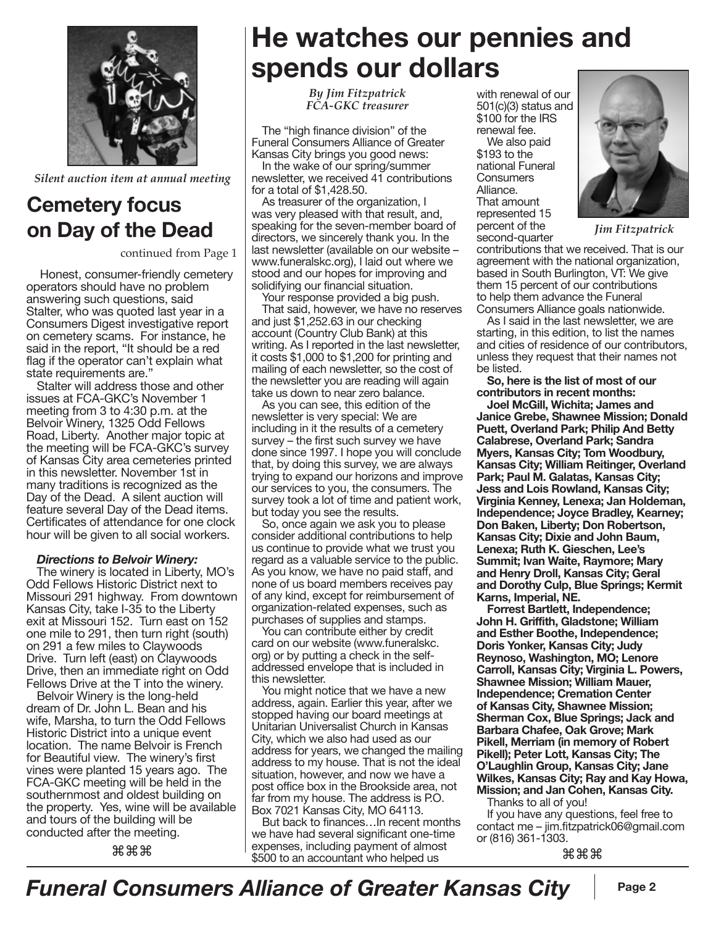

*Silent auction item at annual meeting*

#### **Cemetery focus on Day of the Dead**

continued from Page 1

Honest, consumer-friendly cemetery operators should have no problem answering such questions, said Stalter, who was quoted last year in a Consumers Digest investigative report on cemetery scams. For instance, he said in the report, "It should be a red flag if the operator can't explain what state requirements are."

Stalter will address those and other issues at FCA-GKC's November 1 meeting from 3 to 4:30 p.m. at the Belvoir Winery, 1325 Odd Fellows Road, Liberty. Another major topic at the meeting will be FCA-GKC's survey of Kansas City area cemeteries printed in this newsletter. November 1st in many traditions is recognized as the Day of the Dead. A silent auction will feature several Day of the Dead items. Certificates of attendance for one clock hour will be given to all social workers.

#### *Directions to Belvoir Winery:*

The winery is located in Liberty, MO's Odd Fellows Historic District next to Missouri 291 highway. From downtown Kansas City, take I-35 to the Liberty exit at Missouri 152. Turn east on 152 one mile to 291, then turn right (south) on 291 a few miles to Claywoods Drive. Turn left (east) on Claywoods Drive, then an immediate right on Odd Fellows Drive at the T into the winery.

Belvoir Winery is the long-held dream of Dr. John L. Bean and his wife, Marsha, to turn the Odd Fellows Historic District into a unique event location. The name Belvoir is French for Beautiful view. The winery's first vines were planted 15 years ago. The FCA-GKC meeting will be held in the southernmost and oldest building on the property. Yes, wine will be available and tours of the building will be conducted after the meeting.

⌘⌘⌘

# **He watches our pennies and spends our dollars**

*By Jim Fitzpatrick FCA-GKC treasurer*

The "high finance division" of the Funeral Consumers Alliance of Greater Kansas City brings you good news:

In the wake of our spring/summer newsletter, we received 41 contributions for a total of \$1,428.50.

As treasurer of the organization, I was very pleased with that result, and, speaking for the seven-member board of directors, we sincerely thank you. In the last newsletter (available on our website – www.funeralskc.org), I laid out where we stood and our hopes for improving and solidifying our financial situation.

Your response provided a big push.

That said, however, we have no reserves and just \$1,252.63 in our checking account (Country Club Bank) at this writing. As I reported in the last newsletter, it costs \$1,000 to \$1,200 for printing and mailing of each newsletter, so the cost of the newsletter you are reading will again take us down to near zero balance.

As you can see, this edition of the newsletter is very special: We are including in it the results of a cemetery survey – the first such survey we have done since 1997. I hope you will conclude that, by doing this survey, we are always trying to expand our horizons and improve our services to you, the consumers. The survey took a lot of time and patient work, but today you see the results.

So, once again we ask you to please consider additional contributions to help us continue to provide what we trust you regard as a valuable service to the public. As you know, we have no paid staff, and none of us board members receives pay of any kind, except for reimbursement of organization-related expenses, such as purchases of supplies and stamps.

You can contribute either by credit card on our website (www.funeralskc. org) or by putting a check in the selfaddressed envelope that is included in this newsletter.

You might notice that we have a new address, again. Earlier this year, after we stopped having our board meetings at Unitarian Universalist Church in Kansas City, which we also had used as our address for years, we changed the mailing address to my house. That is not the ideal situation, however, and now we have a post office box in the Brookside area, not far from my house. The address is P.O. Box 7021 Kansas City, MO 64113.

But back to finances…In recent months we have had several significant one-time expenses, including payment of almost \$500 to an accountant who helped us

with renewal of our 501(c)(3) status and \$100 for the IRS renewal fee.

We also paid \$193 to the national Funeral **Consumers** Alliance. That amount represented 15 percent of the second-quarter



*Jim Fitzpatrick*

contributions that we received. That is our agreement with the national organization, based in South Burlington, VT: We give them 15 percent of our contributions to help them advance the Funeral Consumers Alliance goals nationwide.

As I said in the last newsletter, we are starting, in this edition, to list the names and cities of residence of our contributors, unless they request that their names not be listed.

**So, here is the list of most of our contributors in recent months:**

**Joel McGill, Wichita; James and Janice Grebe, Shawnee Mission; Donald Puett, Overland Park; Philip And Betty Calabrese, Overland Park; Sandra Myers, Kansas City; Tom Woodbury, Kansas City; William Reitinger, Overland Park; Paul M. Galatas, Kansas City; Jess and Lois Rowland, Kansas City; Virginia Kenney, Lenexa; Jan Holdeman, Independence; Joyce Bradley, Kearney; Don Baken, Liberty; Don Robertson, Kansas City; Dixie and John Baum, Lenexa; Ruth K. Gieschen, Lee's Summit; Ivan Waite, Raymore; Mary and Henry Droll, Kansas City; Geral and Dorothy Culp, Blue Springs; Kermit Karns, Imperial, NE.**

**Forrest Bartlett, Independence; John H. Griffith, Gladstone; William and Esther Boothe, Independence; Doris Yonker, Kansas City; Judy Reynoso, Washington, MO; Lenore Carroll, Kansas City; Virginia L. Powers, Shawnee Mission; William Mauer, Independence; Cremation Center of Kansas City, Shawnee Mission; Sherman Cox, Blue Springs; Jack and Barbara Chafee, Oak Grove; Mark Pikell, Merriam (in memory of Robert Pikell); Peter Lott, Kansas City; The O'Laughlin Group, Kansas City; Jane Wilkes, Kansas City; Ray and Kay Howa, Mission; and Jan Cohen, Kansas City.**

Thanks to all of you!

If you have any questions, feel free to contact me – jim.fitzpatrick06@gmail.com or (816) 361-1303.

⌘⌘⌘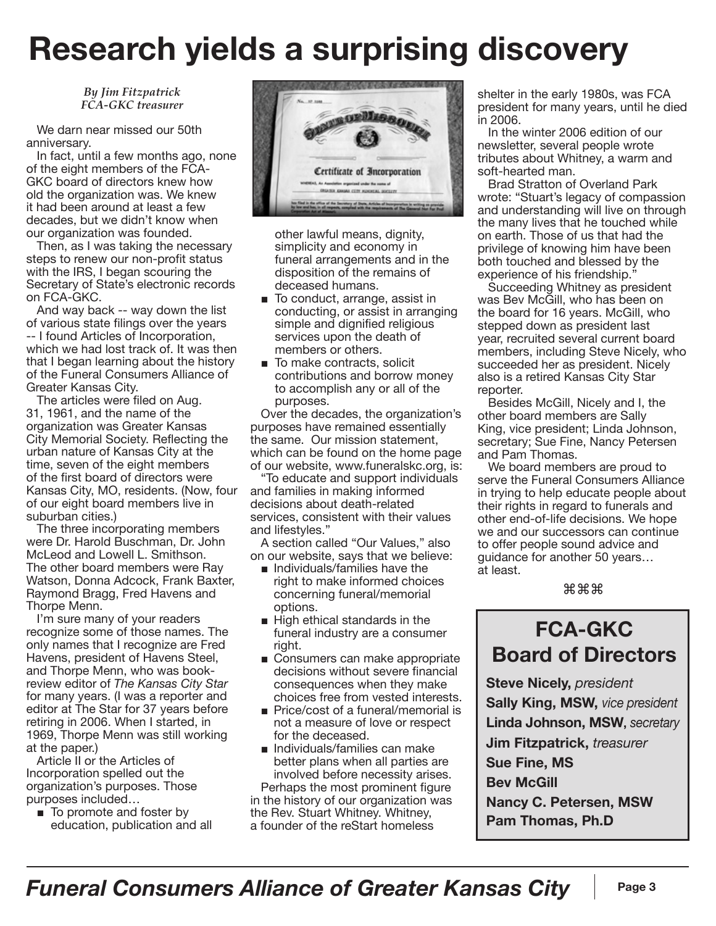# **Research yields a surprising discovery**

*By Jim Fitzpatrick FCA-GKC treasurer*

We darn near missed our 50th anniversary.

In fact, until a few months ago, none of the eight members of the FCA-GKC board of directors knew how old the organization was. We knew it had been around at least a few decades, but we didn't know when our organization was founded.

Then, as I was taking the necessary steps to renew our non-profit status with the IRS, I began scouring the Secretary of State's electronic records on FCA-GKC.

And way back -- way down the list of various state filings over the years -- I found Articles of Incorporation, which we had lost track of. It was then that I began learning about the history of the Funeral Consumers Alliance of Greater Kansas City.

The articles were filed on Aug. 31, 1961, and the name of the organization was Greater Kansas City Memorial Society. Reflecting the urban nature of Kansas City at the time, seven of the eight members of the first board of directors were Kansas City, MO, residents. (Now, four of our eight board members live in suburban cities.)

The three incorporating members were Dr. Harold Buschman, Dr. John McLeod and Lowell L. Smithson. The other board members were Ray Watson, Donna Adcock, Frank Baxter, Raymond Bragg, Fred Havens and Thorpe Menn.

I'm sure many of your readers recognize some of those names. The only names that I recognize are Fred Havens, president of Havens Steel, and Thorpe Menn, who was bookreview editor of *The Kansas City Star* for many years. (I was a reporter and editor at The Star for 37 years before retiring in 2006. When I started, in 1969, Thorpe Menn was still working at the paper.)

Article II or the Articles of Incorporation spelled out the organization's purposes. Those purposes included…

■ To promote and foster by education, publication and all



other lawful means, dignity, simplicity and economy in funeral arrangements and in the disposition of the remains of deceased humans.

- To conduct, arrange, assist in conducting, or assist in arranging simple and dignified religious services upon the death of members or others.
- To make contracts, solicit contributions and borrow money to accomplish any or all of the purposes.

Over the decades, the organization's purposes have remained essentially the same. Our mission statement, which can be found on the home page of our website, www.funeralskc.org, is:

"To educate and support individuals and families in making informed decisions about death-related services, consistent with their values and lifestyles."

A section called "Our Values," also on our website, says that we believe:

- Individuals/families have the right to make informed choices concerning funeral/memorial options.
- High ethical standards in the funeral industry are a consumer right.
- Consumers can make appropriate decisions without severe financial consequences when they make choices free from vested interests.
- Price/cost of a funeral/memorial is not a measure of love or respect for the deceased.
- Individuals/families can make better plans when all parties are involved before necessity arises. Perhaps the most prominent figure

in the history of our organization was the Rev. Stuart Whitney. Whitney, a founder of the reStart homeless

shelter in the early 1980s, was FCA president for many years, until he died in 2006.

In the winter 2006 edition of our newsletter, several people wrote tributes about Whitney, a warm and soft-hearted man.

Brad Stratton of Overland Park wrote: "Stuart's legacy of compassion and understanding will live on through the many lives that he touched while on earth. Those of us that had the privilege of knowing him have been both touched and blessed by the experience of his friendship.'

Succeeding Whitney as president was Bev McGill, who has been on the board for 16 years. McGill, who stepped down as president last year, recruited several current board members, including Steve Nicely, who succeeded her as president. Nicely also is a retired Kansas City Star reporter.

Besides McGill, Nicely and I, the other board members are Sally King, vice president; Linda Johnson, secretary; Sue Fine, Nancy Petersen and Pam Thomas.

We board members are proud to serve the Funeral Consumers Alliance in trying to help educate people about their rights in regard to funerals and other end-of-life decisions. We hope we and our successors can continue to offer people sound advice and guidance for another 50 years… at least.

⌘⌘⌘

#### **FCA-GKC Board of Directors**

**Steve Nicely,** *president* **Sally King, MSW,** *vice president* **Linda Johnson, MSW,** *secretary* **Jim Fitzpatrick,** *treasurer* **Sue Fine, MS Bev McGill Nancy C. Petersen, MSW Pam Thomas, Ph.D**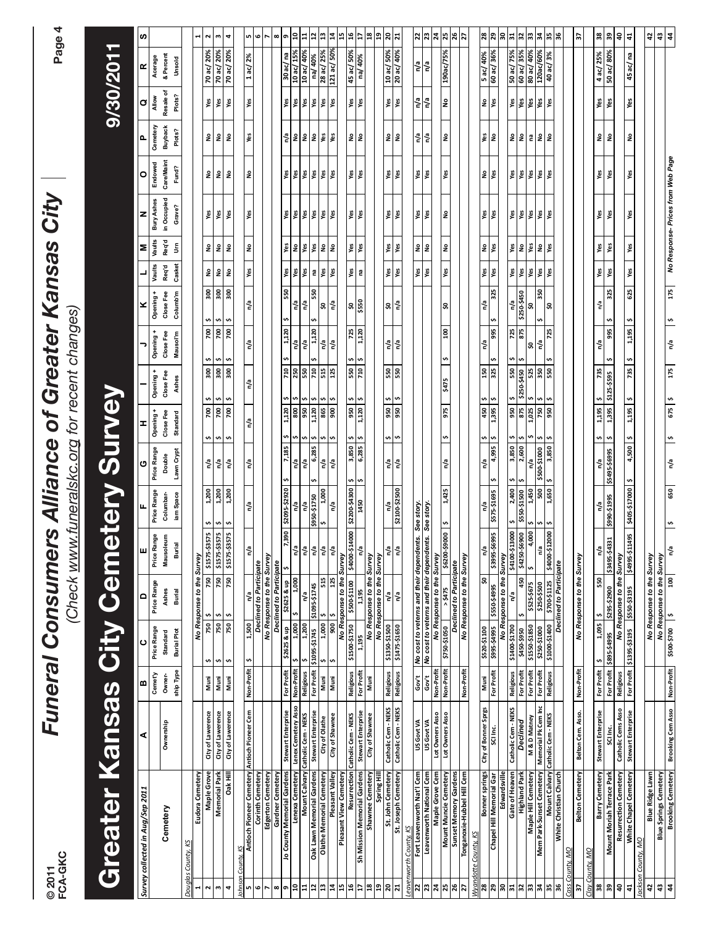| © 2011                | FCA-GKC                                                    |                                        |                                |                                        | (Check www.funeralskc.org for recent changes)<br><b>Funeral Consumer</b>                                 |                                           |                                       | rs Alliance of Greater Kansas City  |                                                       |                                  |                                    |                                    |                                         |                      |                                            |                                       |                                          |                                     | Page <sup></sup>                                | 4                              |
|-----------------------|------------------------------------------------------------|----------------------------------------|--------------------------------|----------------------------------------|----------------------------------------------------------------------------------------------------------|-------------------------------------------|---------------------------------------|-------------------------------------|-------------------------------------------------------|----------------------------------|------------------------------------|------------------------------------|-----------------------------------------|----------------------|--------------------------------------------|---------------------------------------|------------------------------------------|-------------------------------------|-------------------------------------------------|--------------------------------|
|                       | Greater                                                    | Sepley                                 |                                | City                                   | Cem                                                                                                      |                                           | <b>Alera</b>                          |                                     | Survey                                                |                                  |                                    |                                    |                                         |                      |                                            |                                       |                                          |                                     | 9/30/2011                                       |                                |
|                       | Survey collected in Aug/Sep 2011                           | ⋖                                      | m                              | ပ                                      | ≏                                                                                                        | ш                                         |                                       | O                                   | <b>I</b>                                              |                                  | ∍                                  | ×                                  |                                         | Σ                    | z                                          | o                                     | Δ.                                       | $\sigma$                            | $\pmb{\underline{\alpha}}$                      | w                              |
|                       | Cemetery                                                   | Ownership                              | ship Type<br>Cemet'y<br>Owner- | Price Range<br>Burial Plot<br>Standard | Price Range<br>Ashes<br><b>Burial</b>                                                                    | Price Range<br>Mausoleum<br><b>Burial</b> | Price Range<br>iam Space<br>Columbar- | Price Range<br>Lawn Crypt<br>Double | Opening +<br>Close Fee<br><b>Standard</b>             | Opening +<br>Close Fee<br>Ashes  | Opening +<br>Close Fee<br>Mausol'm | Opening +<br>Columb'm<br>Close Fee | Casket<br>Vaults<br>Req'd               | Vaults<br>Req'd<br>š | in Occupied<br><b>Bury Ashes</b><br>Grave? | <b>Care/Maint</b><br>Endowed<br>Fund? | Cemetery<br><b>Buyback</b><br>Plots?     | Resale of<br>Plots?<br><b>Allow</b> | & Percent<br>Acerage<br>Unsold                  |                                |
| Douglas               | County,                                                    |                                        |                                |                                        |                                                                                                          |                                           |                                       |                                     |                                                       |                                  |                                    |                                    |                                         |                      |                                            |                                       |                                          |                                     |                                                 |                                |
| $\blacksquare$        | Eudora Cemetery                                            |                                        |                                |                                        | No Response to the Survey                                                                                |                                           |                                       |                                     |                                                       |                                  |                                    |                                    |                                         |                      |                                            |                                       |                                          |                                     |                                                 | 1                              |
| Ν<br>ω                | Maple Grove<br>Memorial Park                               | City of Lawerence<br>City of Lawerence | Muni<br>Muni                   | 750<br>750<br>¢<br>s,                  | 750<br>750<br>s,<br>\$                                                                                   | \$1575-\$3575<br>\$1575-\$3575            | 1,200<br>1,200<br>s,<br>'n,           | n/a<br>n/a                          | Ś<br>'n<br>700<br>700<br>$\mathbf{v}$<br>$\mathbf{v}$ | $\mathbf{v}$<br>'n,<br>300<br>90 | w<br>$\mathbf{v}$<br>700<br>200    | $\frac{300}{300}$                  | $\hat{\mathsf{z}}$<br>$\hat{\mathsf z}$ | å<br>ş               | уgу<br>уeу                                 | $\frac{9}{2}$<br>٤                    | $\hat{\mathsf{z}}$<br>$\hat{\mathbf{z}}$ | Yes<br>Yes                          | 70 ac/ 20%<br>70 ac/ 20%                        | $\sim$<br>w                    |
| 4                     | <b>Dak Hill</b>                                            | City of Lawerence                      | Muni                           | 750 \$<br>\$                           |                                                                                                          | 750 \$1575-\$3575                         | 1,200<br>s,                           | n/a                                 | 2000<br>s,                                            | $300$ \$                         | ŝ<br>700                           | 500                                | å                                       | å                    | Yes                                        | ş                                     | ş                                        | Yes                                 | 70 ac/ 20%                                      | 4                              |
| ohnson                | County, KS<br>Antioch Pioneer Cemetery Antioch Pioneer Cem |                                        | Non-Profit                     | 1,500<br>w                             | n/a                                                                                                      | Ξ                                         | n/a                                   | n/a                                 | n/a                                                   | n/a                              | n/a                                | n/a                                | Yes                                     | $\tilde{\mathbf{z}}$ | Yes                                        | £                                     | yes                                      | Yes                                 | 1 ac/ 2%                                        | n,                             |
| G                     | Corinth Cemetery                                           |                                        |                                |                                        | <b>Declined to Participate</b>                                                                           |                                           |                                       |                                     |                                                       |                                  |                                    |                                    |                                         |                      |                                            |                                       |                                          |                                     |                                                 | G                              |
| ∞                     | Edgerton Cemetery<br>Gardner Cemetery                      |                                        |                                |                                        | No Response to the Survey<br><b>Declined to Participate</b>                                              |                                           |                                       |                                     |                                                       |                                  |                                    |                                    |                                         |                      |                                            |                                       |                                          |                                     |                                                 | $\infty$                       |
| o                     | Jo County Memorial Gardens                                 | Stewart Enterprise                     | For Profit                     |                                        | \$2625 & up                                                                                              | <b>06E'L</b>                              | \$2095-\$2920                         | 7,185<br>s,                         | 1,120                                                 | 710                              | 1,120                              | 550                                |                                         | Yes                  |                                            |                                       | n/a                                      |                                     |                                                 | e                              |
| ុ                     | Lenexa Cemetery                                            | Lenex Cemetery Asso                    | Non-Profit                     | $\frac{$26258 \text{ up}}{1,000}$      | 1,000<br>S                                                                                               |                                           | n/a                                   | n/a                                 | $\rm s$<br>$\mathbf{v}$                               | 250                              | n/a                                | n/a                                | Yes<br>Yes                              | $\epsilon$           | <b>SIS 1958</b>                            | <b>SER SER</b>                        | ٤                                        | Yes<br>Yes                          | %SI /ว <sup>е OI</sup><br>eu /วе 0E             | ¦a                             |
| ដ                     | Mount Calvary                                              | Catholic Cem - NEKS                    | <b>Religious</b>               | $\frac{1,200}{31095-51745}$<br>1,200   | n/a                                                                                                      | $\frac{e/u}{u/a}$                         | $\frac{n/a}{\$950-$1750}$             | $\mathbf{w}$<br>n/a                 | 950                                                   | 550<br>710                       | $\frac{a}{2}$                      | 튑                                  | Yes                                     | yes                  |                                            |                                       | 2 <sup>o</sup>                           | Yes<br>Yes                          | 10 ac/ 40%                                      | $\mathbf{1}$                   |
| 12                    | Oak Lawn Memorial Gardens                                  | Stewart Enterprise                     | For Profit                     |                                        | \$47\$-5601\$                                                                                            |                                           |                                       | 6,285<br>u,                         | $1,120$ \$                                            | 'n                               | 1,120                              | 550<br>ု့<br>w                     | $\mathbf{e}$                            | Yes                  |                                            |                                       |                                          |                                     | na/ 40%                                         | 12                             |
| $\mathbf{z}$<br>13    | <b>Olathe Memorial Cemetery</b><br>Pleasant Valley         | City of Shawnee<br>City of Olathe      | Muni<br>Muni                   | 900<br>1,000<br>'n<br>s,               | 515<br>125                                                                                               | n <sup>/a</sup><br>n <sup>a</sup>         | 1,000<br>$\frac{1}{2}$<br>s,          | w,<br>n/a<br>n/a                    | 'n<br>\$ 1006<br>865<br>₩                             | 125<br>515                       | n/a<br>n/a                         | n <sup>a</sup>                     | Yes<br>Yes                              | å<br>å               | ěs<br>es                                   | уgу<br>Yes                            | Yes<br>yes                               | Yes<br>Yes                          | %0S /be IZI<br>28 ac/ 25%                       | 2<br>$\frac{1}{4}$             |
| 45                    | Pleasant View Cemetery                                     |                                        |                                |                                        | No Response to the Survey                                                                                |                                           |                                       |                                     |                                                       |                                  |                                    |                                    |                                         |                      |                                            |                                       |                                          |                                     |                                                 | 15                             |
| 9                     | Resurrection                                               | Catholic Cem - NEKS                    | <b>Religious</b>               | \$1500-\$1750                          |                                                                                                          |                                           |                                       | $3,850$ $5$<br>$6,285$ $5$          | $\frac{3}{5}$ 086                                     | $\mathbf{w}$<br>550              | 725                                | $rac{550}{3550}$                   | yes<br>na                               | yes<br>Yes           | уes                                        | Yes<br>Yes                            | $\hat{\mathbf{z}}$                       | Yes                                 | %05/2eu<br>  %05/2e 5 <del>b</del>              | 16                             |
| F                     | Sh Mission Memorial Gardens<br>Shawnee Cemetery            | <b>Stewart Enterprise</b>              | For Profit                     | 1,195                                  |                                                                                                          |                                           |                                       |                                     |                                                       | 0TZ                              | 1,120                              |                                    |                                         |                      | es                                         |                                       | $\epsilon$                               | Yes                                 |                                                 | $\overline{1}$                 |
| ä<br>$\overline{a}$   |                                                            | City of Shawnee                        | Muni                           |                                        | No Response to the Survey<br>No Response to the Survey                                                   |                                           |                                       |                                     |                                                       |                                  |                                    |                                    |                                         |                      |                                            |                                       |                                          |                                     |                                                 | $\frac{8}{18}$<br>$\mathbf{a}$ |
| 20                    | Spring Hil                                                 | Catholic Cem - NEKS                    | <b>Religious</b>               | \$1350-\$1500                          | n/a                                                                                                      | n/a                                       |                                       | n/a                                 |                                                       |                                  | n/a                                | 위                                  |                                         | Yes                  | Yes                                        | ۶g                                    | ş                                        | Yes                                 |                                                 |                                |
| ដ                     | St. John Cemetery<br>St. Joseph Cemetery                   | Catholic Cem - NEKS                    | <b>Religious</b>               | \$1475-\$1650                          | n/a                                                                                                      | n <sup>a</sup>                            | $\frac{n/a}{32100 \cdot $2500}$       | $\frac{2}{3}$<br>n/a                | $rac{36}{5}$ 056                                      | 550<br>550                       | n/a                                | n/a                                | Yes<br>Yes                              | Yes                  | yes                                        | Yes                                   | å                                        | ves                                 | $\frac{10 \text{ ac/}50\%}{20 \text{ ac/}40\%}$ | $\frac{20}{21}$                |
|                       | eavenworth County, KS                                      |                                        |                                |                                        |                                                                                                          |                                           |                                       |                                     |                                                       |                                  |                                    |                                    |                                         |                      |                                            |                                       |                                          |                                     |                                                 |                                |
| 22<br>23              | Leavenworth National Cem<br>Fort Leavenworth Nat'l Cem     | US Govt VA<br>US Govt VA               | $rac{60t}{60t}$                |                                        | No cost to vetems and their dependents. See story.<br>No cost to vetems and their dependents. See story. |                                           |                                       |                                     |                                                       |                                  |                                    |                                    | <u>يو</u><br>Yes                        | 의<br>ş               | es<br>Nes                                  | Yes<br>Yes                            | $\frac{a}{b}$<br>n/a                     | 튑                                   | 튑<br>n <sup>a</sup>                             | $\frac{2}{2}$                  |
| 24                    | Maple Grove Cem                                            | Lot Owners Asso                        | Non-Profit                     |                                        | <b>No Response to the Survey</b>                                                                         |                                           |                                       |                                     |                                                       |                                  |                                    |                                    |                                         |                      |                                            |                                       |                                          |                                     |                                                 | 24                             |
| X,                    | Mount Muncie Cemetery                                      | Lot Owners Asso                        | Non-Profit                     | \$750-\$1050                           | 55475                                                                                                    | \$ 0006\$-0029\$                          | 1,425                                 | $\frac{1}{2}$<br>n/a                | <b>SZ6</b>                                            | $$ 1 $ $$ 1 $                    | 100                                | Ş,                                 | $\frac{1}{1}$                           | $\frac{1}{2}$        | ş                                          | Yes                                   | å                                        | g                                   | 190ac/75%                                       | 25                             |
| 26<br>2               | Sunset Memory Gardens<br>Tonganoxie-Hubbel Hill Cem        |                                        | Non-Profit                     |                                        | No Response to the Survey<br>Declined to Participate                                                     |                                           |                                       |                                     |                                                       |                                  |                                    |                                    |                                         |                      |                                            |                                       |                                          |                                     |                                                 | 26<br>$\overline{5}$           |
|                       |                                                            |                                        |                                |                                        |                                                                                                          |                                           |                                       |                                     |                                                       |                                  |                                    |                                    |                                         |                      |                                            |                                       |                                          |                                     |                                                 |                                |
| 28                    | <b>Bonner springs</b><br>Nyandotte County, KS              | City of Bonner Sprgs                   | Muni                           | \$520-\$1100                           | s,                                                                                                       | n <sup>a</sup>                            | n/a                                   | n/a                                 | 450 \$                                                | 150                              | n/a                                | n/a                                |                                         | å                    | уgу                                        | £                                     | уgу                                      | å                                   | 5 ac/ 40%                                       | 28                             |
| 29                    | Chapel Hill Memorial Gar                                   | SCI Inc.                               | For Profit                     |                                        | S661\$-055\$ S661\$-S66\$                                                                                | S669\$-S668\$                             | \$   \$575-575                        | $\frac{1}{4}$ 995 \$                | $$ 505^{\circ}$                                       | \$<br>325                        | s,<br>995                          | 325                                | Yes<br>Yes                              | Yes                  | Yes                                        | Yes                                   | $\mathsf{S}$                             | Yes                                 | %9£ /2e 09                                      | 29                             |
| SO<br>$\overline{31}$ | Edwardsville<br>Gate of Heaven                             | Catholic Cem - NEKS                    | <b>Religious</b>               | \$1400-\$1700                          | No Response to the Survey<br>n/a                                                                         | 13000<br>\$4100-\$                        | 2,400<br>U)                           | 3,850<br>¢                          | w                                                     | ω<br>550                         | 725                                |                                    |                                         | Yes                  |                                            |                                       |                                          |                                     | 50 ac/ 75%                                      | ន្ល<br>31                      |
| 52                    | Highland Park                                              | Declined                               | For Profit                     | 056\$-051\$                            | 450                                                                                                      | \$6900<br>\$4250.5                        | \$550-\$1500                          | 2,600                               | 950<br>875                                            | 05#\$-052\$                      | 875                                | $n/a$<br>\$250-\$450               |                                         | $\mathsf{S}$         |                                            |                                       | <b>P</b>                                 | es<br>Nes                           | 60 ac/ 35%                                      | 32                             |
|                       | Maple Hill Cemetery<br>Mem Park-Sunset Cemetery            | M & D Matney                           | For Profit<br>For Profit       | \$1550-\$1850<br>\$250-\$1000          | \$525-\$675<br>\$250-\$500                                                                               | 4,000<br>s,                               | 1,450<br>w.                           | 흽                                   | いいい                                                   | 525                              | ន                                  | $50^{\circ}$                       | yes<br>Yes                              | yes                  | <b>SIS 1958</b>                            | <b>PES</b><br>PES<br>PES              |                                          | Yes<br>Yes                          | 80 ac/ 40%<br>120ac/60%                         | 34                             |
|                       |                                                            | Memorial Pk Cem Inc                    |                                |                                        |                                                                                                          | n'a                                       | 500<br>w,                             | \$500-\$1000                        | $\frac{1025}{500}$                                    |                                  | n/a                                | 350<br>s                           | Yes                                     | ş                    |                                            |                                       | <b>e</b>                                 |                                     |                                                 |                                |
| 5<br>36               | White Christian Church                                     | Mount Calvary Catholic Cem - NEKS      | <b>Religious</b>               | \$1000-\$1400                          | Declined to Participate<br>\$700-\$1125                                                                  | 24000-\$12000                             | 1,650<br>\$                           | 3,850<br>U)                         | U)<br>'n                                              | s,<br>550                        | 725                                | ٥Ś                                 | Yes                                     | Yes                  | Yes                                        | yes                                   | ş                                        | Yes                                 | 40 ac/ 3%                                       | 55<br>36                       |
|                       | Cass County, MO                                            |                                        |                                |                                        |                                                                                                          |                                           |                                       |                                     |                                                       |                                  |                                    |                                    |                                         |                      |                                            |                                       |                                          |                                     |                                                 |                                |
|                       | <b>Belton Cemetery</b>                                     | Belton Cem. Asso.                      | Non-Profit                     |                                        | No Response to the Survey                                                                                |                                           |                                       |                                     |                                                       |                                  |                                    |                                    |                                         |                      |                                            |                                       |                                          |                                     |                                                 | 57                             |
|                       | Clay County, MO                                            |                                        |                                |                                        |                                                                                                          |                                           |                                       |                                     |                                                       |                                  |                                    |                                    |                                         |                      |                                            |                                       |                                          |                                     |                                                 |                                |
| 38                    | <b>Barry Cemetery</b><br>Mount Moriah Terrace Park         | Stewart Enterprise<br>SCI Inc.         | For Profit<br>For Profit       | 1,095<br>\$895-\$4995<br>s,            | 550<br>\$295-\$200<br>\$                                                                                 | \$3495-\$4331<br>م <sup>5</sup>           | \$990-\$1995<br>n/a                   | 5669\$-5675\$<br>n/a                | S<br>1,195<br>¢<br>$\cdot$                            | Ś<br>735<br>\$125-\$595          | 995<br>n/a                         | 325<br>n/a<br>S                    | Yes<br>yes                              | Yes<br>۵ğ            | Yes<br>ěs                                  | Yes<br>yes                            | å<br>$\frac{9}{2}$                       | Yes<br>Yes                          | 50 ac/80%<br>4 ac/ 25%                          | 38<br>39                       |
| ą<br>39               | Resurrection Cemetery                                      | Catholic Cems Asso                     | <b>Religious</b>               |                                        | No Response to the Survey                                                                                |                                           |                                       |                                     | 1,395                                                 |                                  |                                    |                                    |                                         |                      |                                            |                                       |                                          |                                     |                                                 | ą0                             |
| 41                    | White Chapel Cemetery                                      | Stewart Enterprise                     | For Profit                     |                                        | \$1395-\$3195 \$550-\$3195 \$4995-\$11495                                                                |                                           | \$405-\$17000                         | $4,500$ \$<br>w                     | ¢<br>1,195                                            | s,<br>735                        | ¢<br>1,195                         | 625                                | Yes                                     | Yes                  | ٩Š                                         | ٧es                                   | ۽                                        | Yes                                 | 45 ac/ na                                       | $\overline{4}$                 |
|                       | ackson County, MO                                          |                                        |                                |                                        |                                                                                                          |                                           |                                       |                                     |                                                       |                                  |                                    |                                    |                                         |                      |                                            |                                       |                                          |                                     |                                                 |                                |
| 42                    | <b>Blue Ridge Lawn</b>                                     |                                        |                                |                                        | No Response to the Survey                                                                                |                                           |                                       |                                     |                                                       |                                  |                                    |                                    |                                         |                      |                                            |                                       |                                          |                                     |                                                 | 42                             |
| $\frac{4}{3}$         | <b>Brooking Cemetery</b><br><b>Blue Springs Cemetery</b>   |                                        |                                |                                        | wo Response to the Survey<br>ssoc\$700   \$<br>mol                                                       |                                           | 650                                   |                                     | 675 \$                                                |                                  |                                    |                                    |                                         |                      | No Response- Prices from Web Page          |                                       |                                          |                                     |                                                 | $43$<br>$\overline{\bf 4}$     |
|                       |                                                            | <b>Brooking Cem Asso</b>               | Non-Profit                     |                                        |                                                                                                          | n <sup>a</sup>                            | $\ddot{\phantom{0}}$                  | $\frac{1}{2}$<br>n/a                |                                                       | 175                              | $\mathbf{v}$<br>n/a                | 175                                |                                         |                      |                                            |                                       |                                          |                                     |                                                 |                                |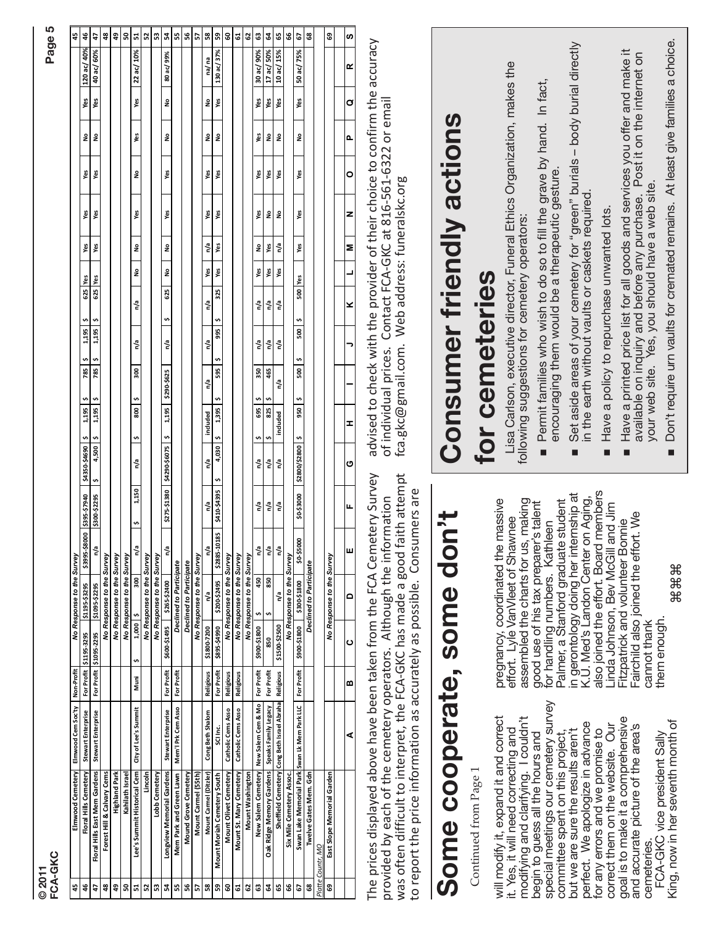|   | ×, |
|---|----|
|   |    |
|   |    |
| Ľ |    |

| ٠ |
|---|
|   |
|   |

| © 2011          | FCA-GKC                                                                                                                                                                                                                                                                                      |                                |              |                                                           |                                                                                                                       |                                                 |                                                     |                                                                                                                                                                                                |                                                                                   |                                                           |                                 |                |            |                            |                    |            |                           | Page 5         |
|-----------------|----------------------------------------------------------------------------------------------------------------------------------------------------------------------------------------------------------------------------------------------------------------------------------------------|--------------------------------|--------------|-----------------------------------------------------------|-----------------------------------------------------------------------------------------------------------------------|-------------------------------------------------|-----------------------------------------------------|------------------------------------------------------------------------------------------------------------------------------------------------------------------------------------------------|-----------------------------------------------------------------------------------|-----------------------------------------------------------|---------------------------------|----------------|------------|----------------------------|--------------------|------------|---------------------------|----------------|
| 45              | Elmwood Cemetery Elmwood Cem Soc'ty                                                                                                                                                                                                                                                          | Non-Profit                     |              | No Response to the Survey                                 |                                                                                                                       |                                                 |                                                     |                                                                                                                                                                                                |                                                                                   |                                                           |                                 |                |            |                            |                    |            |                           | 45             |
| $46$            | <b>Stewart Enterprise</b><br>Floral Hills Cemetery                                                                                                                                                                                                                                           | For Profit                     | \$1195-3295  | \$1195-\$3295                                             |                                                                                                                       |                                                 | \$ 06975-0587\$                                     | $\boldsymbol{\mathrm{o}}$<br>1,195                                                                                                                                                             | $\begin{array}{c c c c c} \hline & 5 & 8\hline \\ & 785 & 5 & \hline \end{array}$ | $\begin{array}{c c}\n1,195 & 5 \\ 1,195 & 5\n\end{array}$ | 625 Yes                         |                | Yes<br>Yes | $\frac{1}{2}$<br>yes<br>Ng | 2 <sup>o</sup>     | Yes<br>Yes | 120 ac/ 40%<br>40 ac/ 60% | 46             |
| đ               | Stewart Enterprise<br>Floral Hills East Mem Gardens                                                                                                                                                                                                                                          |                                | \$1095-2295  | \$1095-\$2295                                             |                                                                                                                       |                                                 | $4,500$ \$<br>$\ddot{\phantom{0}}$                  | $2,195$ \$                                                                                                                                                                                     |                                                                                   |                                                           |                                 |                |            | Yes                        |                    |            |                           | 47             |
| 9               | Forest Hill & Calvary Cems                                                                                                                                                                                                                                                                   |                                |              | No Response to the Survey                                 |                                                                                                                       |                                                 |                                                     |                                                                                                                                                                                                |                                                                                   |                                                           |                                 |                |            |                            |                    |            |                           | 48             |
| ន<br>49         | <b>Highland Park</b><br>Kahilath Israel                                                                                                                                                                                                                                                      |                                |              | No Response to the Survey<br>No Response to the Survey    |                                                                                                                       |                                                 |                                                     |                                                                                                                                                                                                |                                                                                   |                                                           |                                 |                |            |                            |                    |            |                           | SO,<br>49      |
| Ľ,              | City of Lee's Summit<br>Lee's Summit Historical Cem                                                                                                                                                                                                                                          | Muni                           | Ù,           | ¢<br>1,000                                                | n/a<br>300                                                                                                            | 1,150<br>v,                                     | n/a                                                 | \$   800<br>$\frac{1}{2}$                                                                                                                                                                      | 300                                                                               | n/a                                                       | n <sup>a</sup>                  | <b>No</b>      | ed<br>No   | ş<br>Yes                   | Yes                |            | Yes 22 ac/ 10%            | 51             |
| នាន             |                                                                                                                                                                                                                                                                                              |                                |              | No Response to the Survey                                 |                                                                                                                       |                                                 |                                                     |                                                                                                                                                                                                |                                                                                   |                                                           |                                 |                |            |                            |                    |            |                           | 52             |
|                 | Lobb Cemetery                                                                                                                                                                                                                                                                                |                                |              | No Response to the Survey<br>\$265-\$2400                 |                                                                                                                       |                                                 | 579\$-067\$   567'1 \$ 5409\$-0675\$   08E1\$-512\$ |                                                                                                                                                                                                |                                                                                   |                                                           |                                 |                |            | Yes                        |                    |            |                           | Ľ,<br>S3       |
| ងន              | Stewart Enterprise<br>Mem <sup>1</sup> l Prk Cem Asso<br><b>Longview Memorial Gardens</b><br>Mem Park and Green Lawn                                                                                                                                                                         | For Profit<br>For Profit       |              | Declined to Participate<br>\$600-\$1495                   | n/a                                                                                                                   |                                                 |                                                     |                                                                                                                                                                                                |                                                                                   | n/a  \$625  No No                                         |                                 |                | Yes        |                            | No l               |            | No 80 ac/ 99%             | l 5            |
| 56              | Mound Grove Cemetery                                                                                                                                                                                                                                                                         |                                |              | <b>Declined to Participate</b>                            |                                                                                                                       |                                                 |                                                     |                                                                                                                                                                                                |                                                                                   |                                                           |                                 |                |            |                            |                    |            |                           | 56             |
| ۵J              |                                                                                                                                                                                                                                                                                              |                                |              | No Response to the Survey                                 |                                                                                                                       |                                                 |                                                     |                                                                                                                                                                                                |                                                                                   |                                                           |                                 |                |            |                            |                    |            |                           | 57             |
| 58              | Cong Beth Shalom<br>Mount Carmel (Ditzler)                                                                                                                                                                                                                                                   | <b>Religious</b>               |              | n/a<br>\$1800-7200                                        |                                                                                                                       | n/a                                             | n/a                                                 | included                                                                                                                                                                                       | n/a                                                                               | n/a                                                       | n/a                             | Yes            | n/a        | Yes<br>Yes                 | ş                  | ş          | na/ na                    | 58             |
| $B$ $B$         | Catholic Cems Asso<br>$\frac{1}{\sqrt{2}}$<br>Mount Olivet Cemetery<br><b>Mount Moriah Cemetery South</b>                                                                                                                                                                                    | For Profit<br><b>Religious</b> |              | No Response to the Survey<br>\$200-\$2495<br>\$895-\$4990 |                                                                                                                       | $\frac{1}{2}$   565'1 = 5   56575'0175810758875 |                                                     |                                                                                                                                                                                                | 595                                                                               | \$995<br>$\bullet$                                        | 325                             | Yes            | Yes        | Yes<br>Yes                 | $\hat{\mathbf{z}}$ | Yes        | 130 ac/ 37%               | GO<br>S9       |
| 61              | Catholic Cems Asso<br>Mount St. Mary Cemetery                                                                                                                                                                                                                                                | <b>Religious</b>               |              | No Response to the Survey                                 |                                                                                                                       |                                                 |                                                     |                                                                                                                                                                                                |                                                                                   |                                                           |                                 |                |            |                            |                    |            |                           | 5              |
| $\mathbf{c}$    | Washington                                                                                                                                                                                                                                                                                   |                                |              | No Response to the Survey                                 |                                                                                                                       |                                                 |                                                     |                                                                                                                                                                                                |                                                                                   |                                                           |                                 |                |            |                            |                    |            |                           | 62             |
| $\mathbbmss{3}$ | New Salem Cemetery New Salem Cem & Mo                                                                                                                                                                                                                                                        | For Profit                     |              | $\ddot{\phantom{0}}$<br>\$900-\$1800                      | n/a<br>450                                                                                                            | n/a                                             | n/a                                                 | $695$   \$<br>s,                                                                                                                                                                               | 350                                                                               | n/a                                                       | n/a                             | Yes            | ş          | Yes<br>Yes                 | Yes                | yes        | 30 ac/ 90%                | G3             |
| ತ ಅ             | e Memory Gardens Speaks Family Legacy<br>Sheffield Cemetery Cong Beth Israel Abraha<br>Oak Ridge Memory Gardens                                                                                                                                                                              | For Profit                     |              | ¢<br>850                                                  | n/a<br>850                                                                                                            | n/a                                             | n/a                                                 | s,<br>825<br>$\mathbf{v}$                                                                                                                                                                      | 465                                                                               | n <sup>7</sup> a                                          | $\mathsf{n}^{\prime\mathsf{a}}$ | Yes            | Yes        | Yes<br>å                   | å                  | Yes        | 17 ac/ 50%                | 64             |
|                 |                                                                                                                                                                                                                                                                                              | <b>Religious</b>               |              | n/a<br>\$1500-\$2500                                      | n/a                                                                                                                   | n/a                                             | n/a                                                 | included                                                                                                                                                                                       | n/a                                                                               | n/a                                                       | n/a                             | Yes            | n/a        | Yes<br>$\mathsf{e}\,$      | $\mathsf s$        | Yes        | 10 ac/ 15%                | GS.            |
| 8               | Six Mile Cemetery Assoc.                                                                                                                                                                                                                                                                     |                                |              | No Response to the Survey                                 |                                                                                                                       |                                                 |                                                     |                                                                                                                                                                                                |                                                                                   |                                                           |                                 |                |            |                            |                    |            |                           | 9              |
| 29              | Swan Lk Mem Park LLC<br>Swan Lake Memorial Park                                                                                                                                                                                                                                              | For Profit                     |              | \$300-\$1800<br>\$900-\$1800                              | \$0-\$5000                                                                                                            | \$0-\$3000                                      | \$   0087\$70087\$                                  | 950 \$                                                                                                                                                                                         | 500                                                                               | 500<br>w,                                                 | 500 Yes<br>$\cdot$              |                | Yes        | Yes<br>Yes                 | $\hat{\mathbf{z}}$ | Yes        | 50 ac/ 75%                | $\overline{c}$ |
| 8               | Twelve Gates Mem. Gdn                                                                                                                                                                                                                                                                        |                                |              | Declined to Participate                                   |                                                                                                                       |                                                 |                                                     |                                                                                                                                                                                                |                                                                                   |                                                           |                                 |                |            |                            |                    |            |                           | $\tt{3}$       |
| Platte<br>ෂ     | East Slope Memorial Garden<br>Countr, MO                                                                                                                                                                                                                                                     |                                |              | No Response to the Survey                                 |                                                                                                                       |                                                 |                                                     |                                                                                                                                                                                                |                                                                                   |                                                           |                                 |                |            |                            |                    |            |                           | ස              |
|                 |                                                                                                                                                                                                                                                                                              |                                |              |                                                           |                                                                                                                       |                                                 |                                                     |                                                                                                                                                                                                |                                                                                   |                                                           |                                 |                |            |                            |                    |            |                           |                |
|                 | ⋖                                                                                                                                                                                                                                                                                            | m                              |              | $\mathbf{a}$<br>ပ                                         |                                                                                                                       | щ                                               | ပ                                                   | I                                                                                                                                                                                              |                                                                                   |                                                           | ×                               | $\overline{a}$ | z          | $\circ$<br>z               | o.                 | Ø          | œ                         | ဖာ             |
|                 | was often difficult to interpret, the FCA-GKC has made a good faith attempt<br>The prices displayed above have been taken from the FCA Cemetery Survey<br>provided by each of the cemetery operators. Although the information<br>to report the price information as accurately as possible. |                                |              |                                                           |                                                                                                                       | Consumers are                                   |                                                     | advised to check with the provider of their choice to confirm the accuracy<br>of individual prices. Contact FCA-GKC at 816-561-6322 or email<br>fca.gkc@gmail.com. Web address: funeralskc.org |                                                                                   |                                                           |                                 |                |            |                            |                    |            |                           |                |
|                 |                                                                                                                                                                                                                                                                                              |                                |              |                                                           |                                                                                                                       |                                                 |                                                     |                                                                                                                                                                                                |                                                                                   |                                                           |                                 |                |            |                            |                    |            |                           |                |
|                 | Some cooperate, some                                                                                                                                                                                                                                                                         |                                |              |                                                           | don't                                                                                                                 |                                                 |                                                     | <b>Consumer friendly actions</b>                                                                                                                                                               |                                                                                   |                                                           |                                 |                |            |                            |                    |            |                           |                |
|                 | Continued from Page 1                                                                                                                                                                                                                                                                        |                                |              |                                                           |                                                                                                                       |                                                 |                                                     | for cemeteries                                                                                                                                                                                 |                                                                                   |                                                           |                                 |                |            |                            |                    |            |                           |                |
|                 | will modify it, expand it and correct                                                                                                                                                                                                                                                        |                                |              |                                                           | pregnancy, coordinated the massive<br>effort. Lyle VanVleet of Shawnee                                                |                                                 |                                                     |                                                                                                                                                                                                |                                                                                   |                                                           |                                 |                |            |                            |                    |            |                           |                |
|                 | it. Yes, it will need correcting and                                                                                                                                                                                                                                                         |                                |              |                                                           | assembled the charts for us, making                                                                                   |                                                 |                                                     | Lisa Carlson, executive director, Funeral Ethics Organization, makes the<br>following suggestions for cemetery operators:                                                                      |                                                                                   |                                                           |                                 |                |            |                            |                    |            |                           |                |
|                 | modifying and clarifying. I couldn't<br>begin to guess all the hours and                                                                                                                                                                                                                     |                                |              |                                                           | good use of his tax preparer's talent                                                                                 |                                                 |                                                     |                                                                                                                                                                                                |                                                                                   |                                                           |                                 |                |            |                            |                    |            |                           |                |
|                 | special meetings our cemetery survey                                                                                                                                                                                                                                                         |                                |              |                                                           | for handling numbers. Kathleen<br>Palmer, a Stanford graduate student                                                 |                                                 | $\blacksquare$                                      | Permit families who wish to do so to fill the grave by hand. In fact,<br>encouraging them would be a therapeutic gesture.                                                                      |                                                                                   |                                                           |                                 |                |            |                            |                    |            |                           |                |
|                 | but we are sure the results aren't<br>committee spent on this project,                                                                                                                                                                                                                       |                                |              |                                                           |                                                                                                                       |                                                 |                                                     |                                                                                                                                                                                                |                                                                                   |                                                           |                                 |                |            |                            |                    |            |                           |                |
|                 | perfect. We apologize in advance                                                                                                                                                                                                                                                             |                                |              |                                                           | in gerontology doing her internship at<br>K.U. Med's Landon Center on Aging,<br>also joined the effort. Board members |                                                 | Ō.                                                  | Set aside areas of your cemetery for "green" burials - body burial directly<br>in the earth without vaults or caskets required.                                                                |                                                                                   |                                                           |                                 |                |            |                            |                    |            |                           |                |
|                 | correct them on the website. Our<br>for any errors and we promise to                                                                                                                                                                                                                         |                                |              | Linda Johnson, Bev McGil                                  |                                                                                                                       | I and Jim                                       |                                                     | Have a policy to repurchase unwanted lots.                                                                                                                                                     |                                                                                   |                                                           |                                 |                |            |                            |                    |            |                           |                |
|                 | goal is to make it a comprehensive                                                                                                                                                                                                                                                           |                                |              |                                                           | Fitzpatrick and volunteer Bonnie                                                                                      |                                                 |                                                     | Have a printed price list for all goods and services you offer and make it<br>available on inquiry and before any purchase. Post it on the internet on                                         |                                                                                   |                                                           |                                 |                |            |                            |                    |            |                           |                |
|                 | and accurate picture of the area's<br>cemeteries.                                                                                                                                                                                                                                            |                                | cannot thank |                                                           | Fairchild also joined the effort. We                                                                                  |                                                 |                                                     | your web site. Yes, you should have a web site.                                                                                                                                                |                                                                                   |                                                           |                                 |                |            |                            |                    |            |                           |                |
|                 | FCA-GKC vice president Sally                                                                                                                                                                                                                                                                 |                                | them enough  |                                                           |                                                                                                                       |                                                 |                                                     |                                                                                                                                                                                                |                                                                                   |                                                           |                                 |                |            |                            |                    |            |                           |                |

# **Some cooperate, some don't**

King, now in her seventh month of

for handling numbers. Kathleen<br>Palmer, a Stanford graduate student<br>in gerontology doing her internship at<br>K.U. Med's Landon Center on Aging,<br>also joined the effort. Board members also joined the effort. Board members in gerontology doing her internship at K.U. Med's Landon Center on Aging, assembled the charts for us, making<br>good use of his tax preparer's talent assembled the charts for us, making pregnancy, coordinated the massive pregnancy, coordinated the massive Palmer, a Stanford graduate student good use of his tax preparer's talent Linda Johnson, Bev McGill and Jim Linda Johnson, Bev McGill and Jim Fairchild also joined the effort. We -airchild also joined the effort. We effort. Lyle VanVleet of Shawnee effort. Lyle VanVleet of Shawnee Fitzpatrick and volunteer Bonnie Fitzpatrick and volunteer Bonnie for handling numbers. Kathleen ⌘⌘⌘ them enough. cannot thank cannot thank them enough

# **Consumer friendly actions**  Consumer friendly actions for cemeteries **for cemeteries**

- Permit families who wish to do so to fill the grave by hand. In fact,<br>encouraging them would be a therapeutic gesture. Permit families who wish to do so to fill the grave by hand. In fact, encouraging them would be a therapeutic gesture.
- Set aside areas of your cemetery for "green" burials body burial directly Set aside areas of your cemetery for "green" burials - body burial directly<br>in the earth without vaults or caskets required. in the earth without vaults or caskets required. ■
- Have a policy to repurchase unwanted lots. ■ Have a policy to repurchase unwanted lots. ń
- Have a printed price list for all goods and services you offer and make it<br>available on inquiry and before any purchase. Post it on the internet on<br>your web site. Yes, you should have a web site. ■ Have a printed price list for all goods and services you offer and make it available on inquiry and before any purchase. Post it on the internet on your web site. Yes, you should have a web site.  $\blacksquare$
- Don't require urn vaults for cremated remains. At least give families a choice. ■ Don't require urn vaults for cremated remains. At least give families a choice. Ė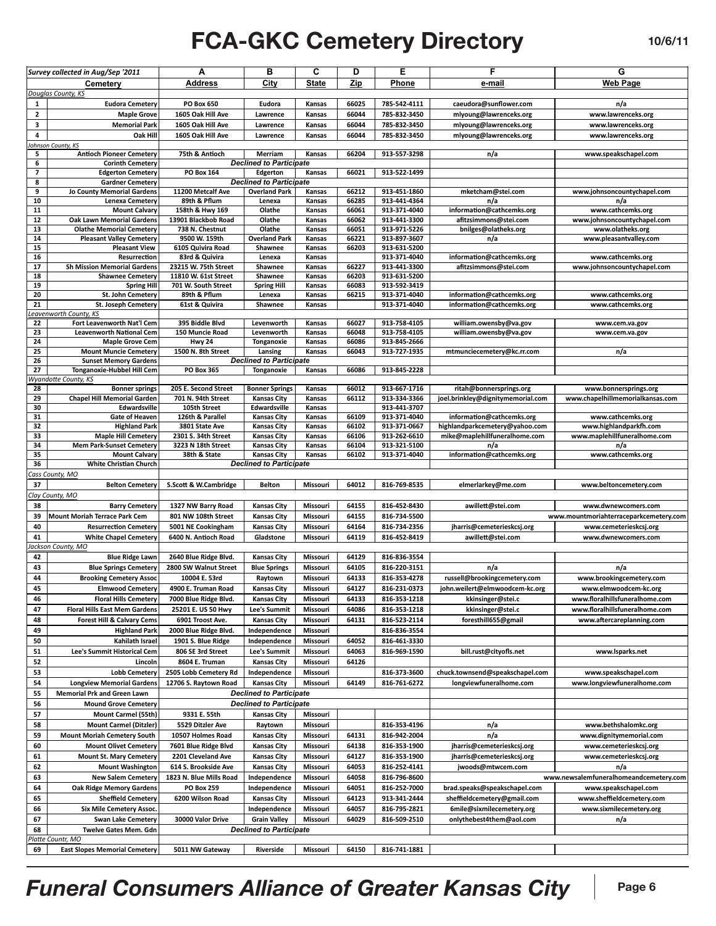#### **Funeral Manager of the Consumers of the Consumers' Consumers of the Consumers' Consumers of the Consumers of the Consumers of the Consumers of the Consumers of the Consumers of the Consumers of the Consumers of the Consum FCA-GKC Cemetery Directory 10/6/11**

|                          | Survey collected in Aug/Sep '2011                             | А                       | в                              | С            | D              | Е            | F                                 | G                                      |
|--------------------------|---------------------------------------------------------------|-------------------------|--------------------------------|--------------|----------------|--------------|-----------------------------------|----------------------------------------|
|                          | Cemetery                                                      | <b>Address</b>          | City                           | <b>State</b> | Zip            | Phone        | e-mail                            | <b>Web Page</b>                        |
|                          | Douglas County, KS                                            |                         |                                |              |                |              |                                   |                                        |
| 1                        | <b>Eudora Cemetery</b>                                        | <b>PO Box 650</b>       | Eudora                         | Kansas       | 66025          | 785-542-4111 | caeudora@sunflower.com            | n/a                                    |
| $\mathbf{2}$             | <b>Maple Grove</b>                                            | 1605 Oak Hill Ave       | Lawrence                       | Kansas       | 66044          | 785-832-3450 | mlyoung@lawrenceks.org            | www.lawrenceks.org                     |
| 3                        | <b>Memorial Park</b>                                          | 1605 Oak Hill Ave       | Lawrence                       | Kansas       | 66044          | 785-832-3450 | mlyoung@lawrenceks.org            | www.lawrenceks.org                     |
| 4                        | Oak Hill                                                      | 1605 Oak Hill Ave       | Lawrence                       | Kansas       | 66044          | 785-832-3450 | mlyoung@lawrenceks.org            | www.lawrenceks.org                     |
|                          | <b>Ohnson County, KS</b>                                      |                         |                                |              |                |              |                                   |                                        |
| 5                        | <b>Antioch Pioneer Cemetery</b>                               | 75th & Antioch          | Merriam                        | Kansas       | 66204          | 913-557-3298 | n/a                               | www.speakschapel.com                   |
| 6                        | <b>Corinth Cemetery</b>                                       |                         | <b>Declined to Participate</b> |              |                |              |                                   |                                        |
| $\overline{\phantom{a}}$ | <b>Edgerton Cemetery</b>                                      | <b>PO Box 164</b>       | Edgerton                       | Kansas       | 66021          | 913-522-1499 |                                   |                                        |
| 8                        | <b>Gardner Cemetery</b>                                       |                         | <b>Declined to Participate</b> |              |                |              |                                   |                                        |
| 9                        | <b>Jo County Memorial Gardens</b>                             | 11200 Metcalf Ave       | <b>Overland Park</b>           | Kansas       | 66212          | 913-451-1860 | mketcham@stei.com                 | www.johnsoncountychapel.com            |
| 10                       | Lenexa Cemetery                                               | 89th & Pflum            | Lenexa                         | Kansas       | 66285          | 913-441-4364 | n/a                               | n/a                                    |
| 11                       | <b>Mount Calvary</b>                                          | 158th & Hwy 169         | Olathe                         | Kansas       | 66061          | 913-371-4040 | information@cathcemks.org         | www.cathcemks.org                      |
| 12                       | <b>Oak Lawn Memorial Gardens</b>                              | 13901 Blackbob Road     | Olathe                         | Kansas       | 66062          | 913-441-3300 | afitzsimmons@stei.com             | www.johnsoncountychapel.com            |
| 13                       | <b>Olathe Memorial Cemetery</b>                               | 738 N. Chestnut         | Olathe                         | Kansas       | 66051          | 913-971-5226 | bnilges@olatheks.org              | www.olatheks.org                       |
| 14                       | <b>Pleasant Valley Cemetery</b>                               | 9500 W. 159th           | <b>Overland Park</b>           | Kansas       | 66221          | 913-897-3607 | n/a                               | www.pleasantvalley.com                 |
| 15                       | <b>Pleasant View</b>                                          | 6105 Quivira Road       | Shawnee                        | Kansas       | 66203          | 913-631-5200 |                                   |                                        |
| 16                       | Resurrection                                                  | 83rd & Quivira          | Lenexa                         | Kansas       |                | 913-371-4040 | information@cathcemks.org         | www.cathcemks.org                      |
| 17                       | <b>Sh Mission Memorial Gardens</b>                            | 23215 W. 75th Street    | Shawnee                        | Kansas       | 66227          | 913-441-3300 | afitzsimmons@stei.com             | www.johnsoncountychapel.com            |
| 18                       | <b>Shawnee Cemetery</b>                                       | 11810 W. 61st Street    | Shawnee                        | Kansas       | 66203          | 913-631-5200 |                                   |                                        |
| 19<br>20                 | <b>Spring Hill</b><br>St. John Cemetery                       | 701 W. South Street     | <b>Spring Hill</b>             | Kansas       | 66083<br>66215 | 913-592-3419 |                                   |                                        |
| 21                       |                                                               | 89th & Pflum            | Lenexa                         | Kansas       |                | 913-371-4040 | information@cathcemks.org         | www.cathcemks.org                      |
|                          | <b>St. Joseph Cemetery</b><br>eavenworth County, KS           | 61st & Quivira          | Shawnee                        | Kansas       |                | 913-371-4040 | information@cathcemks.org         | www.cathcemks.org                      |
| 22                       | Fort Leavenworth Nat'l Cem                                    | 395 Biddle Blvd         | Levenworth                     | Kansas       | 66027          | 913-758-4105 | william.owensby@va.gov            | www.cem.va.gov                         |
| 23                       | <b>Leavenworth National Cem</b>                               | 150 Muncie Road         | Levenworth                     | Kansas       | 66048          | 913-758-4105 | william.owensby@va.gov            | www.cem.va.gov                         |
| 24                       | <b>Maple Grove Cem</b>                                        | <b>Hwy 24</b>           | Tonganoxie                     | Kansas       | 66086          | 913-845-2666 |                                   |                                        |
| 25                       | <b>Mount Muncie Cemetery</b>                                  | 1500 N. 8th Street      | Lansing                        | Kansas       | 66043          | 913-727-1935 | mtmunciecemetery@kc.rr.com        | n/a                                    |
| 26                       | <b>Sunset Memory Gardens</b>                                  |                         | <b>Declined to Participate</b> |              |                |              |                                   |                                        |
| 27                       | <b>Tonganoxie-Hubbel Hill Cem</b>                             | <b>PO Box 365</b>       | Tonganoxie                     | Kansas       | 66086          | 913-845-2228 |                                   |                                        |
|                          | Wyandotte County, KS                                          |                         |                                |              |                |              |                                   |                                        |
| 28                       | <b>Bonner springs</b>                                         | 205 E. Second Street    | <b>Bonner Springs</b>          | Kansas       | 66012          | 913-667-1716 | ritah@bonnersprings.org           | www.bonnersprings.org                  |
| 29                       | <b>Chapel Hill Memorial Garden</b>                            | 701 N. 94th Street      | <b>Kansas City</b>             | Kansas       | 66112          | 913-334-3366 | joel.brinkley@dignitymemorial.com | www.chapelhillmemorialkansas.com       |
| 30                       | Edwardsville                                                  | 105th Street            | Edwardsville                   | Kansas       |                | 913-441-3707 |                                   |                                        |
| 31                       | Gate of Heaven                                                | 126th & Parallel        | <b>Kansas City</b>             | Kansas       | 66109          | 913-371-4040 | information@cathcemks.org         | www.cathcemks.org                      |
| 32                       | <b>Highland Park</b>                                          | 3801 State Ave          | <b>Kansas City</b>             | Kansas       | 66102          | 913-371-0667 | highlandparkcemetery@yahoo.com    | www.highlandparkfh.com                 |
| 33                       | <b>Maple Hill Cemetery</b>                                    | 2301 S. 34th Street     | <b>Kansas City</b>             | Kansas       | 66106          | 913-262-6610 | mike@maplehillfuneralhome.com     | www.maplehillfuneralhome.com           |
| 34                       | <b>Mem Park-Sunset Cemetery</b>                               | 3223 N 18th Street      | <b>Kansas City</b>             | Kansas       | 66104          | 913-321-5100 | n/a                               | n/a                                    |
| 35                       | <b>Mount Calvary</b>                                          | 38th & State            | <b>Kansas City</b>             | Kansas       | 66102          | 913-371-4040 | information@cathcemks.org         | www.cathcemks.org                      |
| 36                       | <b>White Christian Church</b>                                 |                         | <b>Declined to Participate</b> |              |                |              |                                   |                                        |
|                          | Cass County, MO                                               |                         |                                |              |                |              |                                   |                                        |
| 37                       | <b>Belton Cemetery</b>                                        | S.Scott & W.Cambridge   | <b>Belton</b>                  | Missouri     | 64012          | 816-769-8535 | elmerlarkey@me.com                | www.beltoncemetery.com                 |
|                          | Clay County, MO                                               |                         |                                |              |                |              |                                   |                                        |
| 38                       | <b>Barry Cemetery</b>                                         | 1327 NW Barry Road      | <b>Kansas City</b>             | Missouri     | 64155          | 816-452-8430 | awillett@stei.com                 | www.dwnewcomers.com                    |
| 39                       | <b>Mount Moriah Terrace Park Cem</b>                          | 801 NW 108th Street     | <b>Kansas City</b>             | Missouri     | 64155          | 816-734-5500 |                                   | www.mountmoriahterraceparkcemetery.com |
| 40                       | <b>Resurrection Cemetery</b>                                  | 5001 NE Cookingham      | <b>Kansas City</b>             | Missouri     | 64164          | 816-734-2356 | jharris@cemeterieskcsj.org        | www.cemeterieskcsj.org                 |
| 41                       | <b>White Chapel Cemetery</b>                                  | 6400 N. Antioch Road    | Gladstone                      | Missouri     | 64119          | 816-452-8419 | awillett@stei.com                 | www.dwnewcomers.com                    |
|                          | lackson County, MO                                            |                         |                                |              |                |              |                                   |                                        |
| 42                       | <b>Blue Ridge Lawn</b>                                        | 2640 Blue Ridge Blvd.   | <b>Kansas City</b>             | Missouri     | 64129          | 816-836-3554 |                                   |                                        |
| 43                       | <b>Blue Springs Cemetery</b>                                  | 2800 SW Walnut Street   | <b>Blue Springs</b>            | Missouri     | 64105          | 816-220-3151 | n/a                               | n/a                                    |
| 44                       | <b>Brooking Cemetery Assoc</b>                                | 10004 E. 53rd           | Raytown                        | Missouri     | 64133          | 816-353-4278 | russell@brookingcemetery.com      | www.brookingcemetery.com               |
| 45                       | <b>Elmwood Cemetery</b>                                       | 4900 E. Truman Road     | <b>Kansas City</b>             | Missouri     | 64127          | 816-231-0373 | john.weilert@elmwoodcem-kc.org    | www.elmwoodcem-kc.org                  |
| 46                       | <b>Floral Hills Cemetery</b>                                  | 7000 Blue Ridge Blvd.   | <b>Kansas City</b>             | Missouri     | 64133          | 816-353-1218 | kkinsinger@stei.c                 | www.floralhillsfuneralhome.com         |
| 47                       | <b>Floral Hills East Mem Gardens</b>                          | 25201 E. US 50 Hwy      | Lee's Summit                   | Missouri     | 64086          | 816-353-1218 | kkinsinger@stei.c                 | www.floralhillsfuneralhome.com         |
| 48                       |                                                               |                         |                                | Missouri     | 64131          |              |                                   | www.aftercareplanning.com              |
|                          | <b>Forest Hill &amp; Calvary Cems</b><br><b>Highland Park</b> | 6901 Troost Ave.        | <b>Kansas City</b>             |              |                | 816-523-2114 | foresthill655@gmail               |                                        |
| 49                       |                                                               | 2000 Blue Ridge Blvd.   | Independence                   | Missouri     |                | 816-836-3554 |                                   |                                        |
| 50                       | Kahilath Israel                                               | 1901 S. Blue Ridge      | Independence                   | Missouri     | 64052          | 816-461-3330 |                                   |                                        |
| 51                       | Lee's Summit Historical Cem                                   | 806 SE 3rd Street       | Lee's Summit                   | Missouri     | 64063          | 816-969-1590 | bill.rust@cityofls.net            | www.lsparks.net                        |
| 52                       | Lincoln                                                       | 8604 E. Truman          | <b>Kansas City</b>             | Missouri     | 64126          |              |                                   |                                        |
| 53                       | <b>Lobb Cemetery</b>                                          | 2505 Lobb Cemetery Rd   | Independence                   | Missouri     |                | 816-373-3600 | chuck.townsend@speakschapel.com   | www.speakschapel.com                   |
| 54                       | <b>Longview Memorial Gardens</b>                              | 12706 S. Raytown Road   | <b>Kansas City</b>             | Missouri     | 64149          | 816-761-6272 | longviewfuneralhome.com           | www.longviewfuneralhome.com            |
| 55                       | <b>Memorial Prk and Green Lawn</b>                            |                         | <b>Declined to Participate</b> |              |                |              |                                   |                                        |
| 56                       |                                                               |                         |                                |              |                |              |                                   |                                        |
| 57                       | <b>Mound Grove Cemetery</b>                                   |                         | <b>Declined to Participate</b> |              |                |              |                                   |                                        |
| 58                       | Mount Carmel (55th)                                           | 9331 E. 55th            | <b>Kansas City</b>             | Missouri     |                |              |                                   |                                        |
| 59                       | <b>Mount Carmel (Ditzler)</b>                                 | 5529 Ditzler Ave        | Raytown                        | Missouri     |                | 816-353-4196 | n/a                               | www.bethshalomkc.org                   |
|                          | <b>Mount Moriah Cemetery South</b>                            | 10507 Holmes Road       | <b>Kansas City</b>             |              | 64131          | 816-942-2004 | n/a                               | www.dignitymemorial.com                |
|                          |                                                               |                         |                                | Missouri     |                |              |                                   |                                        |
| 60                       | <b>Mount Olivet Cemetery</b>                                  | 7601 Blue Ridge Blvd    | <b>Kansas City</b>             | Missouri     | 64138          | 816-353-1900 | jharris@cemeterieskcsj.org        | www.cemeterieskcsj.org                 |
| 61                       | <b>Mount St. Mary Cemetery</b>                                | 2201 Cleveland Ave      | <b>Kansas City</b>             | Missouri     | 64127          | 816-353-1900 | jharris@cemeterieskcsj.org        | www.cemeterieskcsj.org                 |
| 62                       | <b>Mount Washington</b>                                       | 614 S. Brookside Ave    | <b>Kansas City</b>             | Missouri     | 64053          | 816-252-4141 | jwoods@mtwcem.com                 | n/a                                    |
| 63                       | <b>New Salem Cemetery</b>                                     | 1823 N. Blue Mills Road | Independence                   | Missouri     | 64058          | 816-796-8600 |                                   | www.newsalemfuneralhomeandcemetery.com |
| 64                       | <b>Oak Ridge Memory Gardens</b>                               | <b>PO Box 259</b>       | Independence                   | Missouri     | 64051          | 816-252-7000 | brad.speaks@speakschapel.com      | www.speakschapel.com                   |
| 65                       | <b>Sheffield Cemetery</b>                                     | 6200 Wilson Road        | <b>Kansas City</b>             | Missouri     | 64123          | 913-341-2444 | sheffieldcemetery@gmail.com       | www.sheffieldcemetery.com              |
| 66                       | <b>Six Mile Cemetery Assoc.</b>                               |                         | Independence                   | Missouri     | 64057          | 816-795-2821 | 6mile@sixmilecemetery.org         | www.sixmilecemetery.org                |
| 67                       | <b>Swan Lake Cemetery</b>                                     | 30000 Valor Drive       | <b>Grain Valley</b>            | Missouri     | 64029          | 816-509-2510 | onlythebest4them@aol.com          | n/a                                    |
| 68                       | Twelve Gates Mem. Gdn                                         |                         | <b>Declined to Participate</b> |              |                |              |                                   |                                        |
| 69                       | Platte Countr, MO<br><b>East Slopes Memorial Cemetery</b>     | 5011 NW Gateway         | Riverside                      | Missouri     | 64150          | 816-741-1881 |                                   |                                        |

### *Funeral Consumers Alliance of Greater Kansas City* | Page 6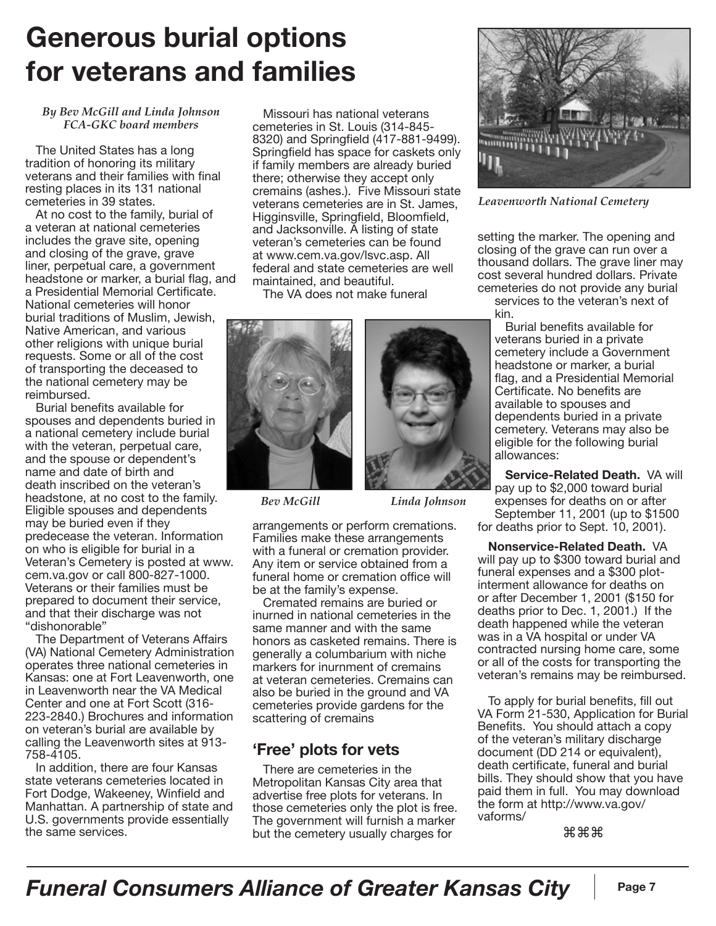# **Generous burial options for veterans and families**

#### *By Bev McGill and Linda Johnson FCA-GKC board members*

The United States has a long tradition of honoring its military veterans and their families with final resting places in its 131 national cemeteries in 39 states.

At no cost to the family, burial of a veteran at national cemeteries includes the grave site, opening and closing of the grave, grave liner, perpetual care, a government headstone or marker, a burial flag, and a Presidential Memorial Certificate. National cemeteries will honor burial traditions of Muslim, Jewish, Native American, and various other religions with unique burial requests. Some or all of the cost of transporting the deceased to the national cemetery may be reimbursed.

Burial benefits available for spouses and dependents buried in a national cemetery include burial with the veteran, perpetual care, and the spouse or dependent's name and date of birth and death inscribed on the veteran's headstone, at no cost to the family. Eligible spouses and dependents may be buried even if they predecease the veteran. Information on who is eligible for burial in a Veteran's Cemetery is posted at www. cem.va.gov or call 800-827-1000. Veterans or their families must be prepared to document their service, and that their discharge was not "dishonorable"

The Department of Veterans Affairs (VA) National Cemetery Administration operates three national cemeteries in Kansas: one at Fort Leavenworth, one in Leavenworth near the VA Medical Center and one at Fort Scott (316- 223-2840.) Brochures and information on veteran's burial are available by calling the Leavenworth sites at 913- 758-4105.

In addition, there are four Kansas state veterans cemeteries located in Fort Dodge, Wakeeney, Winfield and Manhattan. A partnership of state and U.S. governments provide essentially the same services.

Missouri has national veterans cemeteries in St. Louis (314-845- 8320) and Springfield (417-881-9499). Springfield has space for caskets only if family members are already buried there; otherwise they accept only cremains (ashes.). Five Missouri state veterans cemeteries are in St. James, Higginsville, Springfield, Bloomfield, and Jacksonville. A listing of state veteran's cemeteries can be found at www.cem.va.gov/lsvc.asp. All federal and state cemeteries are well maintained, and beautiful.

The VA does not make funeral





*Bev McGill Linda Johnson*

arrangements or perform cremations. Families make these arrangements with a funeral or cremation provider. Any item or service obtained from a funeral home or cremation office will be at the family's expense.

Cremated remains are buried or inurned in national cemeteries in the same manner and with the same honors as casketed remains. There is generally a columbarium with niche markers for inurnment of cremains at veteran cemeteries. Cremains can also be buried in the ground and VA cemeteries provide gardens for the scattering of cremains

#### **'Free' plots for vets**

There are cemeteries in the Metropolitan Kansas City area that advertise free plots for veterans. In those cemeteries only the plot is free. The government will furnish a marker but the cemetery usually charges for



*Leavenworth National Cemetery*

setting the marker. The opening and closing of the grave can run over a thousand dollars. The grave liner may cost several hundred dollars. Private cemeteries do not provide any burial services to the veteran's next of

kin.

Burial benefits available for veterans buried in a private cemetery include a Government headstone or marker, a burial flag, and a Presidential Memorial Certificate. No benefits are available to spouses and dependents buried in a private cemetery. Veterans may also be eligible for the following burial allowances:

**Service-Related Death.** VA will pay up to \$2,000 toward burial expenses for deaths on or after September 11, 2001 (up to \$1500 for deaths prior to Sept. 10, 2001).

**Nonservice-Related Death.** VA will pay up to \$300 toward burial and funeral expenses and a \$300 plotinterment allowance for deaths on or after December 1, 2001 (\$150 for deaths prior to Dec. 1, 2001.) If the death happened while the veteran was in a VA hospital or under VA contracted nursing home care, some or all of the costs for transporting the veteran's remains may be reimbursed.

To apply for burial benefits, fill out VA Form 21-530, Application for Burial Benefits. You should attach a copy of the veteran's military discharge document (DD 214 or equivalent), death certificate, funeral and burial bills. They should show that you have paid them in full. You may download the form at http://www.va.gov/ vaforms/

⌘⌘⌘